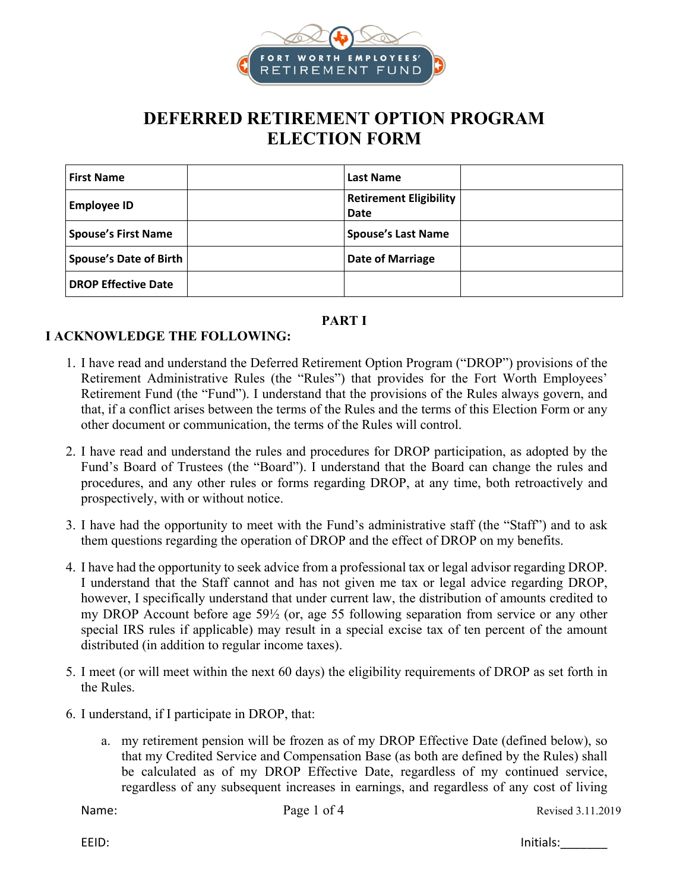

# **DEFERRED RETIREMENT OPTION PROGRAM ELECTION FORM**

| <b>First Name</b>             | Last Name                             |  |
|-------------------------------|---------------------------------------|--|
| <b>Employee ID</b>            | <b>Retirement Eligibility</b><br>Date |  |
| <b>Spouse's First Name</b>    | <b>Spouse's Last Name</b>             |  |
| <b>Spouse's Date of Birth</b> | <b>Date of Marriage</b>               |  |
| <b>DROP Effective Date</b>    |                                       |  |

### **PART I**

#### **I ACKNOWLEDGE THE FOLLOWING:**

- 1. I have read and understand the Deferred Retirement Option Program ("DROP") provisions of the Retirement Administrative Rules (the "Rules") that provides for the Fort Worth Employees' Retirement Fund (the "Fund"). I understand that the provisions of the Rules always govern, and that, if a conflict arises between the terms of the Rules and the terms of this Election Form or any other document or communication, the terms of the Rules will control.
- 2. I have read and understand the rules and procedures for DROP participation, as adopted by the Fund's Board of Trustees (the "Board"). I understand that the Board can change the rules and procedures, and any other rules or forms regarding DROP, at any time, both retroactively and prospectively, with or without notice.
- 3. I have had the opportunity to meet with the Fund's administrative staff (the "Staff") and to ask them questions regarding the operation of DROP and the effect of DROP on my benefits.
- 4. I have had the opportunity to seek advice from a professional tax or legal advisor regarding DROP. I understand that the Staff cannot and has not given me tax or legal advice regarding DROP, however, I specifically understand that under current law, the distribution of amounts credited to my DROP Account before age 59½ (or, age 55 following separation from service or any other special IRS rules if applicable) may result in a special excise tax of ten percent of the amount distributed (in addition to regular income taxes).
- 5. I meet (or will meet within the next 60 days) the eligibility requirements of DROP as set forth in the Rules.
- 6. I understand, if I participate in DROP, that:
	- a. my retirement pension will be frozen as of my DROP Effective Date (defined below), so that my Credited Service and Compensation Base (as both are defined by the Rules) shall be calculated as of my DROP Effective Date, regardless of my continued service, regardless of any subsequent increases in earnings, and regardless of any cost of living

EEID: Initials:\_\_\_\_\_\_\_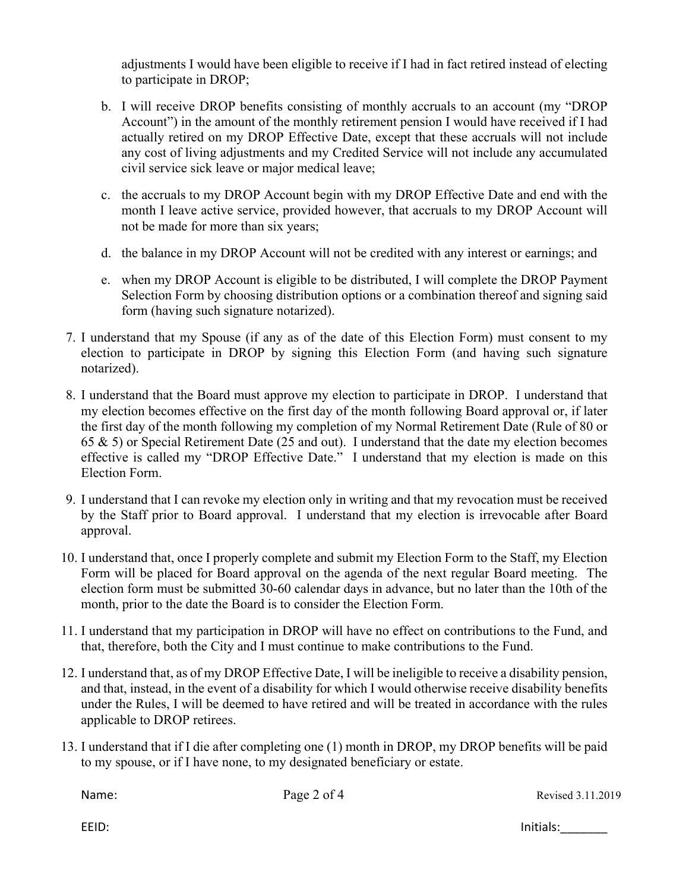adjustments I would have been eligible to receive if I had in fact retired instead of electing to participate in DROP;

- b. I will receive DROP benefits consisting of monthly accruals to an account (my "DROP Account") in the amount of the monthly retirement pension I would have received if I had actually retired on my DROP Effective Date, except that these accruals will not include any cost of living adjustments and my Credited Service will not include any accumulated civil service sick leave or major medical leave;
- c. the accruals to my DROP Account begin with my DROP Effective Date and end with the month I leave active service, provided however, that accruals to my DROP Account will not be made for more than six years;
- d. the balance in my DROP Account will not be credited with any interest or earnings; and
- e. when my DROP Account is eligible to be distributed, I will complete the DROP Payment Selection Form by choosing distribution options or a combination thereof and signing said form (having such signature notarized).
- 7. I understand that my Spouse (if any as of the date of this Election Form) must consent to my election to participate in DROP by signing this Election Form (and having such signature notarized).
- 8. I understand that the Board must approve my election to participate in DROP. I understand that my election becomes effective on the first day of the month following Board approval or, if later the first day of the month following my completion of my Normal Retirement Date (Rule of 80 or 65 & 5) or Special Retirement Date (25 and out). I understand that the date my election becomes effective is called my "DROP Effective Date." I understand that my election is made on this Election Form.
- 9. I understand that I can revoke my election only in writing and that my revocation must be received by the Staff prior to Board approval. I understand that my election is irrevocable after Board approval.
- 10. I understand that, once I properly complete and submit my Election Form to the Staff, my Election Form will be placed for Board approval on the agenda of the next regular Board meeting. The election form must be submitted 30-60 calendar days in advance, but no later than the 10th of the month, prior to the date the Board is to consider the Election Form.
- 11. I understand that my participation in DROP will have no effect on contributions to the Fund, and that, therefore, both the City and I must continue to make contributions to the Fund.
- 12. I understand that, as of my DROP Effective Date, I will be ineligible to receive a disability pension, and that, instead, in the event of a disability for which I would otherwise receive disability benefits under the Rules, I will be deemed to have retired and will be treated in accordance with the rules applicable to DROP retirees.
- 13. I understand that if I die after completing one (1) month in DROP, my DROP benefits will be paid to my spouse, or if I have none, to my designated beneficiary or estate.

Name: Page 2 of 4 Revised 3.11.2019

EEID: Initials:\_\_\_\_\_\_\_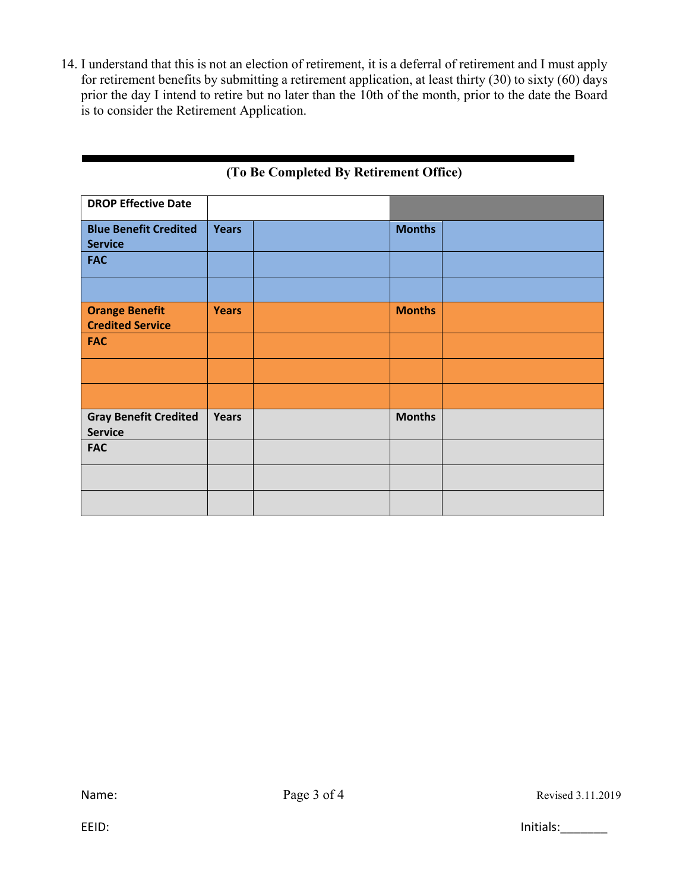14. I understand that this is not an election of retirement, it is a deferral of retirement and I must apply for retirement benefits by submitting a retirement application, at least thirty (30) to sixty (60) days prior the day I intend to retire but no later than the 10th of the month, prior to the date the Board is to consider the Retirement Application.

| <b>DROP Effective Date</b>                     |              |               |  |
|------------------------------------------------|--------------|---------------|--|
|                                                |              |               |  |
| <b>Blue Benefit Credited</b>                   | <b>Years</b> | <b>Months</b> |  |
| <b>Service</b>                                 |              |               |  |
| <b>FAC</b>                                     |              |               |  |
|                                                |              |               |  |
| <b>Orange Benefit</b>                          | <b>Years</b> | <b>Months</b> |  |
| <b>Credited Service</b>                        |              |               |  |
| <b>FAC</b>                                     |              |               |  |
|                                                |              |               |  |
|                                                |              |               |  |
| <b>Gray Benefit Credited</b><br><b>Service</b> | <b>Years</b> | <b>Months</b> |  |
| <b>FAC</b>                                     |              |               |  |
|                                                |              |               |  |
|                                                |              |               |  |

## **(To Be Completed By Retirement Office)**